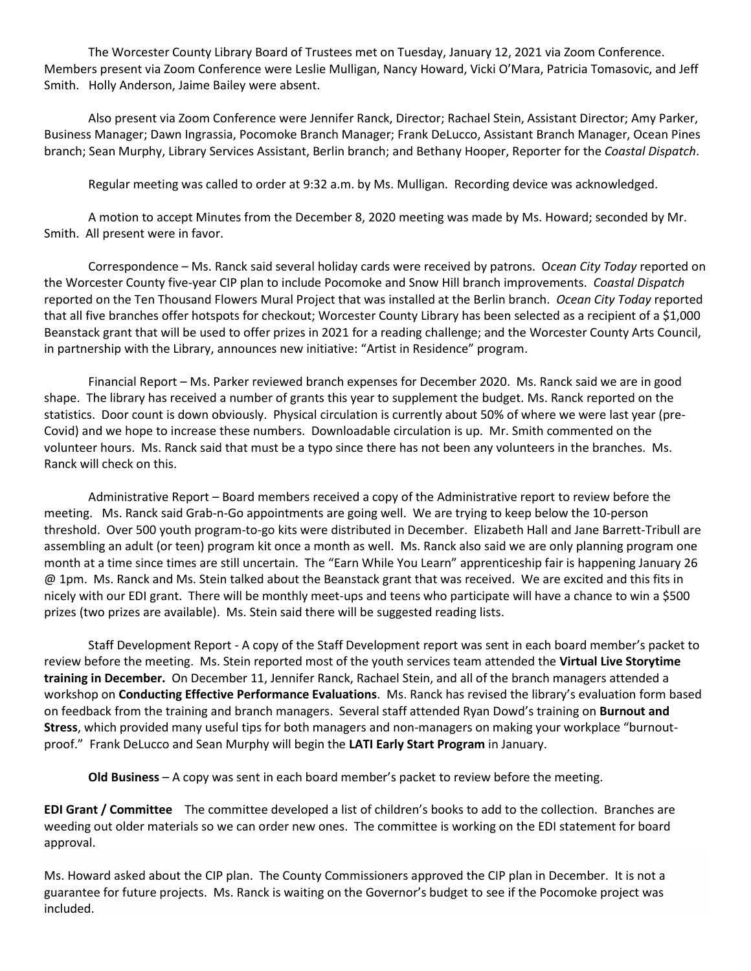The Worcester County Library Board of Trustees met on Tuesday, January 12, 2021 via Zoom Conference. Members present via Zoom Conference were Leslie Mulligan, Nancy Howard, Vicki O'Mara, Patricia Tomasovic, and Jeff Smith. Holly Anderson, Jaime Bailey were absent.

Also present via Zoom Conference were Jennifer Ranck, Director; Rachael Stein, Assistant Director; Amy Parker, Business Manager; Dawn Ingrassia, Pocomoke Branch Manager; Frank DeLucco, Assistant Branch Manager, Ocean Pines branch; Sean Murphy, Library Services Assistant, Berlin branch; and Bethany Hooper, Reporter for the *Coastal Dispatch*.

Regular meeting was called to order at 9:32 a.m. by Ms. Mulligan. Recording device was acknowledged.

A motion to accept Minutes from the December 8, 2020 meeting was made by Ms. Howard; seconded by Mr. Smith. All present were in favor.

Correspondence – Ms. Ranck said several holiday cards were received by patrons. O*cean City Today* reported on the Worcester County five-year CIP plan to include Pocomoke and Snow Hill branch improvements. *Coastal Dispatch* reported on the Ten Thousand Flowers Mural Project that was installed at the Berlin branch. *Ocean City Today* reported that all five branches offer hotspots for checkout; Worcester County Library has been selected as a recipient of a \$1,000 Beanstack grant that will be used to offer prizes in 2021 for a reading challenge; and the Worcester County Arts Council, in partnership with the Library, announces new initiative: "Artist in Residence" program.

Financial Report – Ms. Parker reviewed branch expenses for December 2020. Ms. Ranck said we are in good shape. The library has received a number of grants this year to supplement the budget. Ms. Ranck reported on the statistics. Door count is down obviously. Physical circulation is currently about 50% of where we were last year (pre-Covid) and we hope to increase these numbers. Downloadable circulation is up. Mr. Smith commented on the volunteer hours. Ms. Ranck said that must be a typo since there has not been any volunteers in the branches. Ms. Ranck will check on this.

Administrative Report – Board members received a copy of the Administrative report to review before the meeting. Ms. Ranck said Grab-n-Go appointments are going well. We are trying to keep below the 10-person threshold. Over 500 youth program-to-go kits were distributed in December. Elizabeth Hall and Jane Barrett-Tribull are assembling an adult (or teen) program kit once a month as well. Ms. Ranck also said we are only planning program one month at a time since times are still uncertain. The "Earn While You Learn" apprenticeship fair is happening January 26 @ 1pm. Ms. Ranck and Ms. Stein talked about the Beanstack grant that was received. We are excited and this fits in nicely with our EDI grant. There will be monthly meet-ups and teens who participate will have a chance to win a \$500 prizes (two prizes are available). Ms. Stein said there will be suggested reading lists.

Staff Development Report - A copy of the Staff Development report was sent in each board member's packet to review before the meeting. Ms. Stein reported most of the youth services team attended the **Virtual Live Storytime training in December.** On December 11, Jennifer Ranck, Rachael Stein, and all of the branch managers attended a workshop on **Conducting Effective Performance Evaluations**. Ms. Ranck has revised the library's evaluation form based on feedback from the training and branch managers. Several staff attended Ryan Dowd's training on **Burnout and Stress**, which provided many useful tips for both managers and non-managers on making your workplace "burnoutproof." Frank DeLucco and Sean Murphy will begin the **LATI Early Start Program** in January.

**Old Business** – A copy was sent in each board member's packet to review before the meeting.

**EDI Grant / Committee** The committee developed a list of children's books to add to the collection. Branches are weeding out older materials so we can order new ones. The committee is working on the EDI statement for board approval.

Ms. Howard asked about the CIP plan. The County Commissioners approved the CIP plan in December. It is not a guarantee for future projects. Ms. Ranck is waiting on the Governor's budget to see if the Pocomoke project was included.